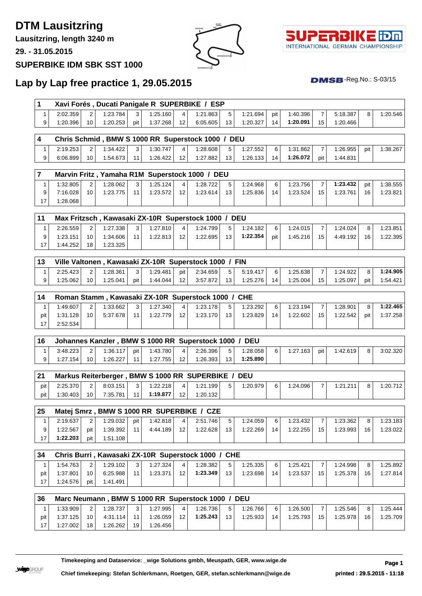## **DTM Lausitzring**

**Lausitzring, length 3240 m**

**29. - 31.05.2015**

#### **SUPERBIKE IDM SBK SST 1000**





## **Lap by Lap free practice 1, 29.05.2015**

| 1                       |                      |                |                      |          |                      |                 | Xavi Forés, Ducati Panigale R SUPERBIKE / ESP         |    |            |     |          |     |          |     |          |
|-------------------------|----------------------|----------------|----------------------|----------|----------------------|-----------------|-------------------------------------------------------|----|------------|-----|----------|-----|----------|-----|----------|
| $\mathbf{1}$            | 2:02.359             | 2              | 1:23.784             | 3        | 1:25.160             | 4               | 1:21.863                                              | 5  | 1:21.694   | pit | 1:40.396 | 7   | 5:18.387 | 8   | 1:20.546 |
| 9                       | 1:20.396             | 10             | 1:20.253             | pit      | 1:37.268             | 12              | 6:05.605                                              | 13 | 1:20.327   | 14  | 1:20.091 | 15  | 1:20.466 |     |          |
|                         |                      |                |                      |          |                      |                 |                                                       |    |            |     |          |     |          |     |          |
| $\overline{\mathbf{4}}$ |                      |                |                      |          |                      |                 | Chris Schmid, BMW S 1000 RR Superstock 1000 / DEU     |    |            |     |          |     |          |     |          |
| 1                       | 2:19.253             | 2              | 1:34.422             | 3        | 1:30.747             | 4               | 1:28.608                                              | 5  | 1:27.552   | 6   | 1:31.862 | 7   | 1:26.955 | pit | 1:38.267 |
| 9                       | 6:06.899             | 10             | 1:54.673             | 11       | 1:26.422             | 12              | 1:27.882                                              | 13 | 1:26.133   | 14  | 1:26.072 | pit | 1:44.831 |     |          |
| $\overline{7}$          |                      |                |                      |          |                      |                 | Marvin Fritz, Yamaha R1M Superstock 1000 / DEU        |    |            |     |          |     |          |     |          |
| 1                       | 1:32.805             | 2              | 1:28.062             | 3        | 1:25.124             | 4               | 1:28.722                                              | 5  | 1:24.968   | 6   | 1:23.756 | 7   | 1:23.432 | pit | 1:38.555 |
| 9                       | 7:16.028             | 10             | 1:23.775             | 11       | 1:23.572             | 12              | 1:23.614                                              | 13 | 1:25.836   | 14  | 1:23.524 | 15  | 1:23.761 | 16  | 1:23.821 |
| 17                      | 1:28.068             |                |                      |          |                      |                 |                                                       |    |            |     |          |     |          |     |          |
|                         |                      |                |                      |          |                      |                 |                                                       |    |            |     |          |     |          |     |          |
| 11                      |                      |                |                      |          |                      |                 | Max Fritzsch, Kawasaki ZX-10R Superstock 1000 / DEU   |    |            |     |          |     |          |     |          |
| $\mathbf{1}$            | 2:26.559             | 2              | 1:27.338             | 3        | 1:27.810             | 4               | 1:24.799                                              | 5  | 1:24.182   | 6   | 1:24.015 | 7   | 1:24.024 | 8   | 1:23.851 |
| 9                       | 1:23.151             | 10             | 1:34.606             | 11       | 1:22.813             | 12              | 1:22.695                                              | 13 | 1:22.354   | pit | 1:45.216 | 15  | 4:49.192 | 16  | 1:22.395 |
| 17                      | 1:44.252             | 18             | 1:23.325             |          |                      |                 |                                                       |    |            |     |          |     |          |     |          |
|                         |                      |                |                      |          |                      |                 |                                                       |    |            |     |          |     |          |     |          |
| 13                      |                      |                |                      |          |                      |                 | Ville Valtonen, Kawasaki ZX-10R Superstock 1000 / FIN |    |            |     |          |     |          |     |          |
| 1                       | 2:25.423             | 2              | 1:28.361             | 3        | 1:29.481             | pit             | 2:34.659                                              | 5  | 5:19.417   | 6   | 1:25.638 | 7   | 1:24.922 | 8   | 1:24.905 |
| 9                       | 1:25.062             | 10             | 1:25.041             | pit      | 1:44.044             | 12              | 3:57.872                                              | 13 | 1:25.276   | 14  | 1:25.004 | 15  | 1:25.097 | pit | 1:54.421 |
| 14                      |                      |                |                      |          |                      |                 | Roman Stamm, Kawasaki ZX-10R Superstock 1000 / CHE    |    |            |     |          |     |          |     |          |
| 1                       | 1:49.607             | 2              | 1:33.662             | 3        | 1:27.340             | 4               | 1:23.178                                              | 5  | 1:23.292   | 6   | 1:23.194 | 7   | 1:28.901 | 8   | 1:22.465 |
| pit                     | 1:31.128             | 10             | 5:37.678             | 11       | 1:22.779             | 12              | 1:23.170                                              | 13 | 1:23.829   | 14  | 1:22.602 | 15  | 1:22.542 | pit | 1:37.258 |
| 17                      | 2:52.534             |                |                      |          |                      |                 |                                                       |    |            |     |          |     |          |     |          |
|                         |                      |                |                      |          |                      |                 |                                                       |    |            |     |          |     |          |     |          |
| 16                      |                      |                |                      |          |                      |                 | Johannes Kanzler, BMW S 1000 RR Superstock 1000 / DEU |    |            |     |          |     |          |     |          |
| 1                       | 3:48.223             | 2              | 1:36.117             | pit      | 1:43.780             | 4               | 2:26.396                                              | 5  | 1:28.058   | 6   | 1:27.163 | pit | 1:42.619 | 8   | 3:02.320 |
| 9                       | 1:27.154             | 10             | 1:26.227             | 11       | 1:27.755             | 12 <sup>2</sup> | 1:26.393                                              | 13 | 1:25.890   |     |          |     |          |     |          |
| 21                      |                      |                |                      |          |                      |                 | Markus Reiterberger, BMW S 1000 RR SUPERBIKE /        |    | <b>DEU</b> |     |          |     |          |     |          |
| pit                     | 2:25.370             | 2              | 8:03.151             | 3        | 1:22.218             | 4               | 1:21.199                                              | 5  | 1:20.979   | 6   | 1:24.096 | 7   | 1:21.211 | 8   | 1:20.712 |
| pit                     | 1:30.403             | 10             | 7:35.781             | 11       | 1:19.877             | 12              | 1:20.132                                              |    |            |     |          |     |          |     |          |
|                         |                      |                |                      |          |                      |                 |                                                       |    |            |     |          |     |          |     |          |
| 25                      |                      |                |                      |          |                      |                 | Matej Smrz, BMW S 1000 RR SUPERBIKE / CZE             |    |            |     |          |     |          |     |          |
| $\mathbf{1}$            | 2:19.637             | 2              | 1:29.032             | pit      | 1:42.818             | 4               | 2:51.746                                              | 5  | 1:24.059   | 6   | 1:23.432 | 7   | 1:23.362 | 8   | 1:23.183 |
| 9                       | 1:22.567             | pit            | 1:39.392             | 11       | 4:44.189             | 12              | 1:22.628                                              | 13 | 1:22.269   | 14  | 1:22.255 | 15  | 1:23.993 | 16  | 1:23.022 |
| 17                      | 1:22.203             | pit            | 1:51.108             |          |                      |                 |                                                       |    |            |     |          |     |          |     |          |
|                         |                      |                |                      |          |                      |                 |                                                       |    |            |     |          |     |          |     |          |
| 34                      |                      |                |                      |          |                      |                 | Chris Burri, Kawasaki ZX-10R Superstock 1000 / CHE    |    |            |     |          |     |          |     |          |
| $\mathbf{1}$            | 1:54.763             | 2              | 1:29.102             | 3        | 1:27.324             | 4               | 1:28.382                                              | 5  | 1:25.335   | 6   | 1:25.421 | 7   | 1:24.998 | 8   | 1:25.892 |
| pit                     | 1:37.801             | 10             | 6:25.988             | 11       | 1:23.371             | 12              | 1:23.349                                              | 13 | 1:23.698   | 14  | 1:23.537 | 15  | 1:25.378 | 16  | 1:27.814 |
| 17                      | 1:24.576             | pit            | 1:41.491             |          |                      |                 |                                                       |    |            |     |          |     |          |     |          |
|                         |                      |                |                      |          |                      |                 |                                                       |    |            |     |          |     |          |     |          |
| 36                      |                      |                |                      |          |                      |                 | Marc Neumann, BMW S 1000 RR Superstock 1000 / DEU     |    |            |     |          |     |          |     |          |
|                         |                      |                |                      |          |                      |                 |                                                       |    |            |     |          |     | 1:25.546 |     | 1:25.444 |
| $\mathbf{1}$            | 1:33.909             | $\overline{c}$ | 1:28.737             | 3        | 1:27.995             | 4               | 1:26.736                                              | 5  | 1:26.766   | 6   | 1:26.500 | 7   |          | 8   |          |
| pit<br>17               | 1:37.125<br>1:27.002 | 10<br>18       | 4:31.114<br>1:26.262 | 11<br>19 | 1:26.059<br>1:26.456 | 12              | 1:25.243                                              | 13 | 1:25.933   | 14  | 1:25.793 | 15  | 1:25.978 | 16  | 1:25.709 |

 $DMSB$ -Reg.No.:  $S-03/15$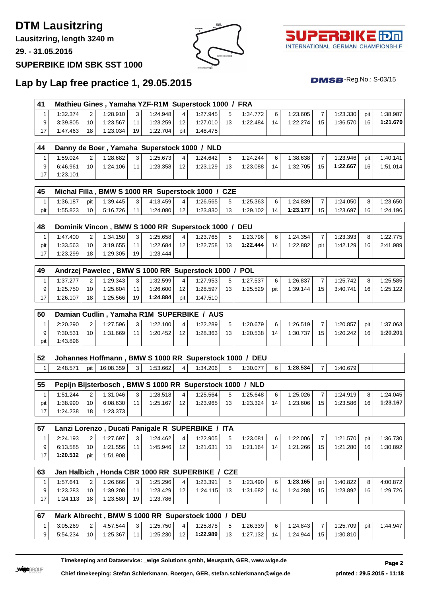# **DTM Lausitzring**

**Lausitzring, length 3240 m**

**29. - 31.05.2015**

#### **SUPERBIKE IDM SBK SST 1000**





 $DMSB$ -Reg.No.:  $S-03/15$ 

## **Lap by Lap free practice 1, 29.05.2015**

|              |                      |                         |                      |         |                                                          |                         | Mathieu Gines, Yamaha YZF-R1M Superstock 1000 / FRA |    |                      |         |                      |                |                      |           |                      |
|--------------|----------------------|-------------------------|----------------------|---------|----------------------------------------------------------|-------------------------|-----------------------------------------------------|----|----------------------|---------|----------------------|----------------|----------------------|-----------|----------------------|
| $\mathbf{1}$ | 1:32.374             | 2                       | 1:28.910             | 3       | 1:24.948                                                 | 4                       | 1:27.945                                            | 5  | 1:34.772             | 6       | 1:23.605             | 7              | 1:23.330             | pit       | 1:38.987             |
| 9            | 3:39.805             | 10                      | 1:23.567             | 11      | 1:23.259                                                 | 12                      | 1:27.010                                            | 13 | 1:22.484             | 14      | 1:22.274             | 15             | 1:36.570             | 16        | 1:21.670             |
| 17           | 1:47.463             | 18                      | 1:23.034             | 19      | 1:22.704                                                 | pit                     | 1:48.475                                            |    |                      |         |                      |                |                      |           |                      |
|              |                      |                         |                      |         |                                                          |                         |                                                     |    |                      |         |                      |                |                      |           |                      |
| 44           |                      |                         |                      |         | Danny de Boer, Yamaha Superstock 1000 / NLD              |                         |                                                     |    |                      |         |                      |                |                      |           |                      |
| $\mathbf{1}$ | 1:59.024             | 2                       | 1:28.682             | 3       | 1:25.673                                                 | 4                       | 1:24.642                                            | 5  | 1:24.244             | 6       | 1:38.638             | 7              | 1:23.946             | pit       | 1:40.141             |
| 9            | 6:46.961             | 10                      | 1:24.106             | 11      | 1:23.358                                                 | 12                      | 1:23.129                                            | 13 | 1:23.088             | 14      | 1:32.705             | 15             | 1:22.667             | 16        | 1:51.014             |
| 17           | 1:23.101             |                         |                      |         |                                                          |                         |                                                     |    |                      |         |                      |                |                      |           |                      |
|              |                      |                         |                      |         |                                                          |                         |                                                     |    |                      |         |                      |                |                      |           |                      |
| 45           |                      |                         |                      |         | Michal Filla, BMW S 1000 RR Superstock 1000 / CZE        |                         |                                                     |    |                      |         |                      |                |                      |           |                      |
| $\mathbf{1}$ | 1:36.187             | pit                     | 1:39.445             | 3       | 4:13.459                                                 | $\overline{4}$          | 1:26.565                                            | 5  | 1:25.363             | 6       | 1:24.839             | $\overline{7}$ | 1:24.050             | 8         | 1:23.650             |
| pit          | 1:55.823             | 10                      | 5:16.726             | 11      | 1:24.080                                                 | 12                      | 1:23.830                                            | 13 | 1:29.102             | 14      | 1:23.177             | 15             | 1:23.697             | 16        | 1:24.196             |
|              |                      |                         |                      |         |                                                          |                         |                                                     |    |                      |         |                      |                |                      |           |                      |
| 48           |                      |                         |                      |         | Dominik Vincon, BMW S 1000 RR Superstock 1000 / DEU      |                         |                                                     |    |                      |         |                      |                |                      |           |                      |
| 1            | 1:47.400             | 2                       | 1:34.150             | 3       | 1:25.658                                                 | 4                       | 1:23.765                                            | 5  | 1:23.796             | 6       | 1:24.354             | 7              | 1:23.393             | 8         | 1:22.775             |
| pit          | 1:33.563             | 10                      | 3:19.655             | 11      | 1:22.684                                                 | 12                      | 1:22.758                                            | 13 | 1:22.444             | 14      | 1:22.882             | pit            | 1:42.129             | 16        | 2:41.989             |
| 17           | 1:23.299             | 18                      | 1:29.305             | 19      | 1:23.444                                                 |                         |                                                     |    |                      |         |                      |                |                      |           |                      |
|              |                      |                         |                      |         |                                                          |                         |                                                     |    |                      |         |                      |                |                      |           |                      |
| 49           |                      |                         |                      |         | Andrzej Pawelec, BMW S 1000 RR Superstock 1000 / POL     |                         |                                                     |    |                      |         |                      |                |                      |           |                      |
| 1            | 1:37.277             | 2                       | 1:29.343             | 3       | 1:32.599                                                 | 4                       | 1:27.953                                            | 5  | 1:27.537             | 6       | 1:26.837             | 7              | 1:25.742             | 8         | 1:25.585             |
| 9            | 1:25.750             | 10                      | 1:25.604             | 11      | 1:26.600                                                 | 12                      | 1:28.597                                            | 13 | 1:25.529             | pit     | 1:39.144             | 15             | 3:40.741             | 16        | 1:25.122             |
| 17           | 1:26.107             | 18                      | 1:25.566             | 19      | 1:24.884                                                 | pit                     | 1:47.510                                            |    |                      |         |                      |                |                      |           |                      |
|              |                      |                         |                      |         |                                                          |                         |                                                     |    |                      |         |                      |                |                      |           |                      |
| 50           |                      |                         |                      |         | Damian Cudlin, Yamaha R1M SUPERBIKE / AUS                |                         |                                                     |    |                      |         |                      |                |                      |           |                      |
| $\mathbf{1}$ | 2:20.290<br>7:30.531 | $\overline{2}$<br>10    | 1:27.596<br>1:31.669 | 3<br>11 | 1:22.100                                                 | 4                       | 1:22.289                                            | 5  | 1:20.679             | 6<br>14 | 1:26.519             | $\overline{7}$ | 1:20.857             | pit<br>16 | 1:37.063<br>1:20.201 |
| 9            |                      |                         |                      |         |                                                          |                         |                                                     |    |                      |         | 1:30.737             | 15             | 1:20.242             |           |                      |
|              |                      |                         |                      |         | 1:20.452                                                 | 12                      | 1:28.363                                            | 13 | 1:20.538             |         |                      |                |                      |           |                      |
| pit          | 1:43.896             |                         |                      |         |                                                          |                         |                                                     |    |                      |         |                      |                |                      |           |                      |
|              |                      |                         |                      |         |                                                          |                         |                                                     |    |                      |         |                      |                |                      |           |                      |
| 52           |                      |                         |                      |         | Johannes Hoffmann, BMW S 1000 RR Superstock 1000 / DEU   |                         |                                                     |    |                      |         |                      |                |                      |           |                      |
| $\mathbf{1}$ | 2:48.571             | pit                     | 16:08.359            | 3       | 1:53.662                                                 | $\overline{\mathbf{4}}$ | 1:34.206                                            | 5  | 1:30.077             | 6       | 1:28.534             | $\overline{7}$ | 1:40.679             |           |                      |
|              |                      |                         |                      |         |                                                          |                         |                                                     |    |                      |         |                      |                |                      |           |                      |
| 55           |                      |                         |                      |         | Pepijn Bijsterbosch, BMW S 1000 RR Superstock 1000 / NLD |                         |                                                     |    |                      |         |                      |                |                      |           |                      |
| $\mathbf{1}$ | 1:51.244             | 2                       | 1:31.046             | 3       | 1:28.518                                                 | 4                       | 1:25.564                                            | 5  | 1:25.648             | 6       | 1:25.026             | 7              | 1:24.919             | 8         | 1:24.045             |
| pit<br>17    | 1:38.990<br>1:24.238 | 10<br>18                | 6:08.630<br>1:23.373 | 11      | 1:25.167                                                 | 12                      | 1:23.965                                            | 13 | 1:23.324             | 14      | 1:23.606             | 15             | 1:23.586             | 16        | 1:23.167             |
|              |                      |                         |                      |         |                                                          |                         |                                                     |    |                      |         |                      |                |                      |           |                      |
| 57           |                      |                         |                      |         | Lanzi Lorenzo, Ducati Panigale R SUPERBIKE / ITA         |                         |                                                     |    |                      |         |                      |                |                      |           |                      |
| 1            | 2:24.193             | 2                       | 1:27.697             | 3       | 1:24.462                                                 | 4                       | 1:22.905                                            | 5  |                      | 6       |                      | $\overline{7}$ |                      | pit       | 1:36.730             |
| 9            | 6:13.585             | 10                      | 1:21.556             | 11      | 1:45.946                                                 | 12                      | 1:21.631                                            | 13 | 1:23.081<br>1:21.164 | 14      | 1:22.006<br>1:21.266 | 15             | 1:21.570<br>1:21.280 | 16        | 1:30.892             |
| 17           | 1:20.532             | pit                     | 1:51.908             |         |                                                          |                         |                                                     |    |                      |         |                      |                |                      |           |                      |
|              |                      |                         |                      |         |                                                          |                         |                                                     |    |                      |         |                      |                |                      |           |                      |
| 63           |                      |                         |                      |         | Jan Halbich, Honda CBR 1000 RR SUPERBIKE / CZE           |                         |                                                     |    |                      |         |                      |                |                      |           |                      |
| 1            | 1:57.641             | $\overline{\mathbf{c}}$ | 1:26.666             | 3       | 1:25.296                                                 | 4                       | 1:23.391                                            | 5  | 1:23.490             | 6       | 1:23.165             | pit            | 1:40.822             | 8         | 4:00.872             |
| 9            | 1:23.283             | 10                      | 1:39.208             | 11      | 1:23.429                                                 | 12                      | 1:24.115                                            | 13 | 1:31.682             | 14      | 1:24.288             | 15             | 1:23.892             | 16        | 1:29.726             |
| 17           | 1:24.113             | 18                      | 1:23.580             | 19      | 1:23.786                                                 |                         |                                                     |    |                      |         |                      |                |                      |           |                      |
|              |                      |                         |                      |         |                                                          |                         |                                                     |    |                      |         |                      |                |                      |           |                      |
| 67           |                      |                         |                      |         | Mark Albrecht, BMW S 1000 RR Superstock 1000 / DEU       |                         |                                                     |    |                      |         |                      |                |                      |           |                      |
| $\mathbf{1}$ | 3:05.269             | 2                       | 4:57.544             | 3       | 1:25.750                                                 | 4                       | 1:25.878                                            | 5  | 1:26.339             | 6       | 1:24.843             | 7              | 1:25.709             | pit       | 1:44.947             |
| 9            | 5:54.234             | 10                      | 1:25.367             | 11      | 1:25.230                                                 | 12                      | 1:22.989                                            | 13 | 1:27.132             | 14      | 1:24.944             | 15             | 1:30.810             |           |                      |